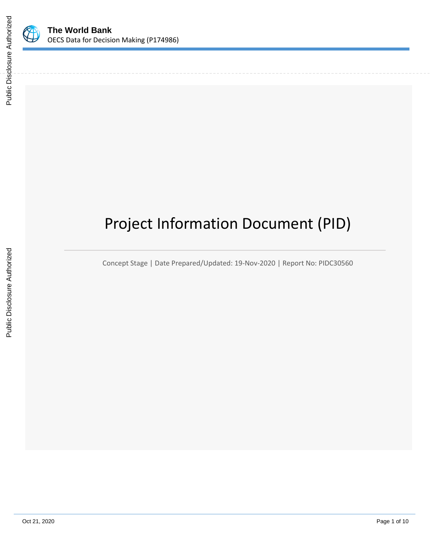

# Project Information Document (PID)

Concept Stage | Date Prepared/Updated: 19-Nov-2020 | Report No: PIDC30560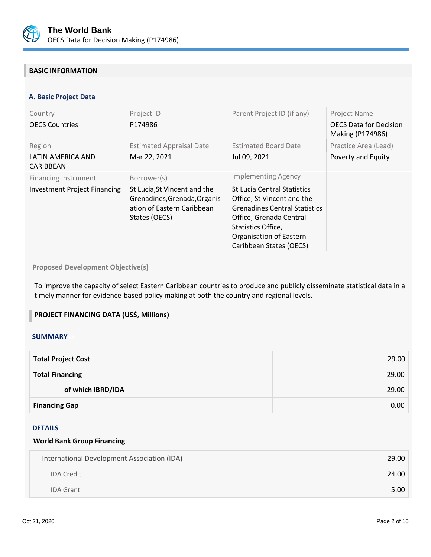

## **BASIC INFORMATION**

## **A. Basic Project Data**

| Country<br><b>OECS Countries</b>                                   | Project ID<br>P174986                                                                                                      | Parent Project ID (if any)                                                                                                                                                                                                                    | Project Name<br><b>OECS Data for Decision</b><br>Making (P174986) |
|--------------------------------------------------------------------|----------------------------------------------------------------------------------------------------------------------------|-----------------------------------------------------------------------------------------------------------------------------------------------------------------------------------------------------------------------------------------------|-------------------------------------------------------------------|
| Region<br>LATIN AMERICA AND<br>CARIBBEAN                           | <b>Estimated Appraisal Date</b><br>Mar 22, 2021                                                                            | <b>Estimated Board Date</b><br>Jul 09, 2021                                                                                                                                                                                                   | Practice Area (Lead)<br>Poverty and Equity                        |
| <b>Financing Instrument</b><br><b>Investment Project Financing</b> | Borrower(s)<br>St Lucia, St Vincent and the<br>Grenadines, Grenada, Organis<br>ation of Eastern Caribbean<br>States (OECS) | <b>Implementing Agency</b><br><b>St Lucia Central Statistics</b><br>Office, St Vincent and the<br><b>Grenadines Central Statistics</b><br>Office, Grenada Central<br>Statistics Office,<br>Organisation of Eastern<br>Caribbean States (OECS) |                                                                   |

## **Proposed Development Objective(s)**

To improve the capacity of select Eastern Caribbean countries to produce and publicly disseminate statistical data in a timely manner for evidence-based policy making at both the country and regional levels.

## **PROJECT FINANCING DATA (US\$, Millions)**

#### **SUMMARY**

| <b>Total Project Cost</b> | 29.00 |
|---------------------------|-------|
| <b>Total Financing</b>    | 29.00 |
| of which IBRD/IDA         | 29.00 |
| <b>Financing Gap</b>      | 0.00  |

#### DETAILS

## **World Bank Group Financing**

| International Development Association (IDA) | 29.00 |
|---------------------------------------------|-------|
| <b>IDA Credit</b>                           | 24.00 |
| <b>IDA Grant</b>                            | 5.00  |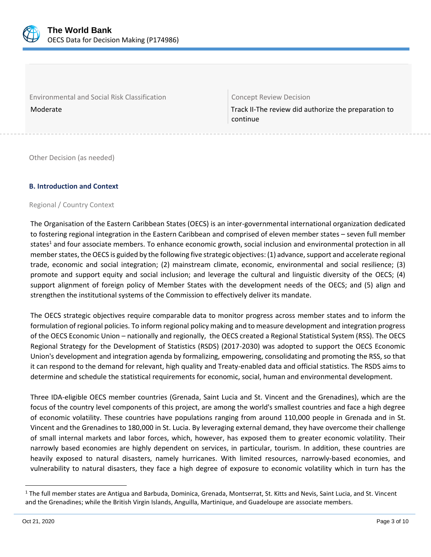

Environmental and Social Risk Classification **Concept Review Decision** 

Moderate Track II-The review did authorize the preparation to continue

Other Decision (as needed)

## **B. Introduction and Context**

## Regional / Country Context

The Organisation of the Eastern Caribbean States (OECS) is an inter-governmental international organization dedicated to fostering regional integration in the Eastern Caribbean and comprised of eleven member states – seven full member states<sup>1</sup> and four associate members. To enhance economic growth, social inclusion and environmental protection in all member states, the OECS is guided by the following five strategic objectives: (1) advance, support and accelerate regional trade, economic and social integration; (2) mainstream climate, economic, environmental and social resilience; (3) promote and support equity and social inclusion; and leverage the cultural and linguistic diversity of the OECS; (4) support alignment of foreign policy of Member States with the development needs of the OECS; and (5) align and strengthen the institutional systems of the Commission to effectively deliver its mandate.

The OECS strategic objectives require comparable data to monitor progress across member states and to inform the formulation of regional policies. To inform regional policy making and to measure development and integration progress of the OECS Economic Union – nationally and regionally, the OECS created a Regional Statistical System (RSS). The OECS Regional Strategy for the Development of Statistics (RSDS) (2017-2030) was adopted to support the OECS Economic Union's development and integration agenda by formalizing, empowering, consolidating and promoting the RSS, so that it can respond to the demand for relevant, high quality and Treaty-enabled data and official statistics. The RSDS aims to determine and schedule the statistical requirements for economic, social, human and environmental development.

Three IDA-eligible OECS member countries (Grenada, Saint Lucia and St. Vincent and the Grenadines), which are the focus of the country level components of this project, are among the world's smallest countries and face a high degree of economic volatility. These countries have populations ranging from around 110,000 people in Grenada and in St. Vincent and the Grenadines to 180,000 in St. Lucia. By leveraging external demand, they have overcome their challenge of small internal markets and labor forces, which, however, has exposed them to greater economic volatility. Their narrowly based economies are highly dependent on services, in particular, tourism. In addition, these countries are heavily exposed to natural disasters, namely hurricanes. With limited resources, narrowly-based economies, and vulnerability to natural disasters, they face a high degree of exposure to economic volatility which in turn has the

 $1$  The full member states are Antigua and Barbuda, Dominica, Grenada, Montserrat, St. Kitts and Nevis, Saint Lucia, and St. Vincent and the Grenadines; while the British Virgin Islands, Anguilla, Martinique, and Guadeloupe are associate members.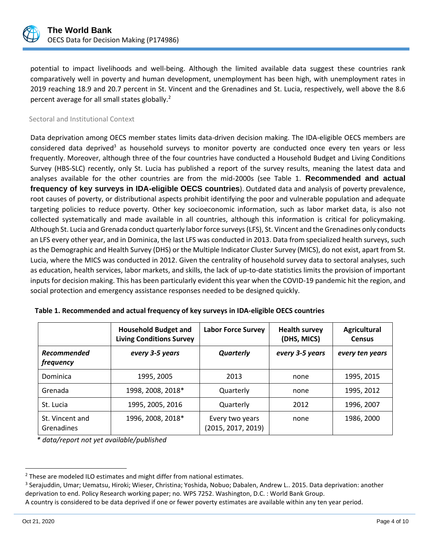

potential to impact livelihoods and well-being. Although the limited available data suggest these countries rank comparatively well in poverty and human development, unemployment has been high, with unemployment rates in 2019 reaching 18.9 and 20.7 percent in St. Vincent and the Grenadines and St. Lucia, respectively, well above the 8.6 percent average for all small states globally.<sup>2</sup>

#### Sectoral and Institutional Context

Data deprivation among OECS member states limits data-driven decision making. The IDA-eligible OECS members are considered data deprived<sup>3</sup> as household surveys to monitor poverty are conducted once every ten years or less frequently. Moreover, although three of the four countries have conducted a Household Budget and Living Conditions Survey (HBS-SLC) recently, only St. Lucia has published a report of the survey results, meaning the latest data and analyses available for the other countries are from the mid-2000s (see Table 1. **[Recommended and actual](#page-3-0)  frequency of key surveys [in IDA-eligible OECS countries](#page-3-0)**). Outdated data and analysis of poverty prevalence, root causes of poverty, or distributional aspects prohibit identifying the poor and vulnerable population and adequate targeting policies to reduce poverty. Other key socioeconomic information, such as labor market data, is also not collected systematically and made available in all countries, although this information is critical for policymaking. Although St. Lucia and Grenada conduct quarterly labor force surveys (LFS), St. Vincent and the Grenadines only conducts an LFS every other year, and in Dominica, the last LFS was conducted in 2013. Data from specialized health surveys, such as the Demographic and Health Survey (DHS) or the Multiple Indicator Cluster Survey (MICS), do not exist, apart from St. Lucia, where the MICS was conducted in 2012. Given the centrality of household survey data to sectoral analyses, such as education, health services, labor markets, and skills, the lack of up-to-date statistics limits the provision of important inputs for decision making. This has been particularly evident this year when the COVID-19 pandemic hit the region, and social protection and emergency assistance responses needed to be designed quickly.

|                               | <b>Household Budget and</b><br><b>Living Conditions Survey</b> | <b>Labor Force Survey</b>             | <b>Health survey</b><br>(DHS, MICS) | <b>Agricultural</b><br><b>Census</b> |
|-------------------------------|----------------------------------------------------------------|---------------------------------------|-------------------------------------|--------------------------------------|
| Recommended<br>frequency      | every 3-5 years                                                | Quarterly                             | every 3-5 years                     | every ten years                      |
| Dominica                      | 1995, 2005                                                     | 2013                                  | none                                | 1995, 2015                           |
| Grenada                       | 1998, 2008, 2018*                                              | Quarterly                             | none                                | 1995, 2012                           |
| St. Lucia                     | 1995, 2005, 2016                                               | Quarterly                             | 2012                                | 1996, 2007                           |
| St. Vincent and<br>Grenadines | 1996, 2008, 2018*                                              | Every two years<br>(2015, 2017, 2019) | none                                | 1986, 2000                           |

<span id="page-3-0"></span>

|  |  | Table 1. Recommended and actual frequency of key surveys in IDA-eligible OECS countries |  |  |  |
|--|--|-----------------------------------------------------------------------------------------|--|--|--|
|--|--|-----------------------------------------------------------------------------------------|--|--|--|

*\* data/report not yet available/published*

<sup>&</sup>lt;sup>2</sup> These are modeled ILO estimates and might differ from national estimates.

<sup>3</sup> Serajuddin, Umar; Uematsu, Hiroki; Wieser, Christina; Yoshida, Nobuo; Dabalen, Andrew L.. 2015. Data deprivation: another deprivation to end. Policy Research working paper; no. WPS 7252. Washington, D.C. : World Bank Group.

A country is considered to be data deprived if one or fewer poverty estimates are available within any ten year period.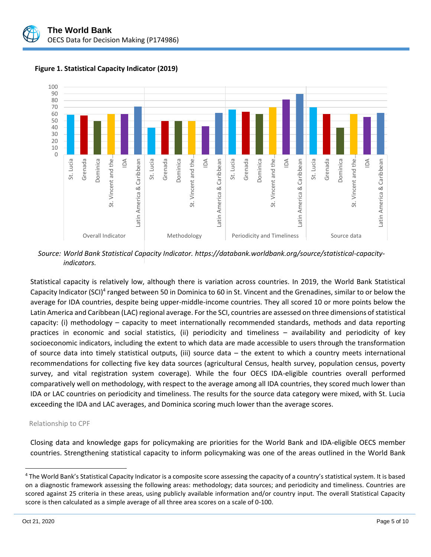



**Figure 1. Statistical Capacity Indicator (2019)**

*Source: World Bank Statistical Capacity Indicator. https://databank.worldbank.org/source/statistical-capacityindicators.*

Statistical capacity is relatively low, although there is variation across countries. In 2019, the World Bank Statistical Capacity Indicator (SCI)<sup>4</sup> ranged between 50 in Dominica to 60 in St. Vincent and the Grenadines, similar to or below the average for IDA countries, despite being upper-middle-income countries. They all scored 10 or more points below the Latin America and Caribbean (LAC) regional average. For the SCI, countries are assessed on three dimensions of statistical capacity: (i) methodology – capacity to meet internationally recommended standards, methods and data reporting practices in economic and social statistics, (ii) periodicity and timeliness – availability and periodicity of key socioeconomic indicators, including the extent to which data are made accessible to users through the transformation of source data into timely statistical outputs, (iii) source data – the extent to which a country meets international recommendations for collecting five key data sources (agricultural Census, health survey, population census, poverty survey, and vital registration system coverage). While the four OECS IDA-eligible countries overall performed comparatively well on methodology, with respect to the average among all IDA countries, they scored much lower than IDA or LAC countries on periodicity and timeliness. The results for the source data category were mixed, with St. Lucia exceeding the IDA and LAC averages, and Dominica scoring much lower than the average scores.

## Relationship to CPF

Closing data and knowledge gaps for policymaking are priorities for the World Bank and IDA-eligible OECS member countries. Strengthening statistical capacity to inform policymaking was one of the areas outlined in the World Bank

<sup>&</sup>lt;sup>4</sup> The World Bank's Statistical Capacity Indicator is a composite score assessing the capacity of a country's statistical system. It is based on a diagnostic framework assessing the following areas: methodology; data sources; and periodicity and timeliness. Countries are scored against 25 criteria in these areas, using publicly available information and/or country input. The overall Statistical Capacity score is then calculated as a simple average of all three area scores on a scale of 0-100.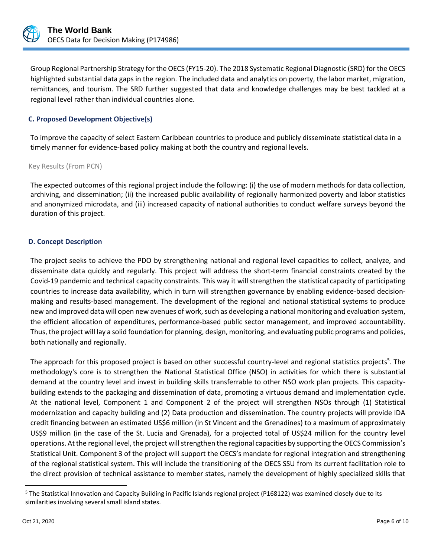

Group Regional Partnership Strategy for the OECS (FY15-20). The 2018 Systematic Regional Diagnostic (SRD) for the OECS highlighted substantial data gaps in the region. The included data and analytics on poverty, the labor market, migration, remittances, and tourism. The SRD further suggested that data and knowledge challenges may be best tackled at a regional level rather than individual countries alone.

## **C. Proposed Development Objective(s)**

To improve the capacity of select Eastern Caribbean countries to produce and publicly disseminate statistical data in a timely manner for evidence-based policy making at both the country and regional levels.

Key Results (From PCN)

The expected outcomes of this regional project include the following: (i) the use of modern methods for data collection, archiving, and dissemination; (ii) the increased public availability of regionally harmonized poverty and labor statistics and anonymized microdata, and (iii) increased capacity of national authorities to conduct welfare surveys beyond the duration of this project.

## **D. Concept Description**

The project seeks to achieve the PDO by strengthening national and regional level capacities to collect, analyze, and disseminate data quickly and regularly. This project will address the short-term financial constraints created by the Covid-19 pandemic and technical capacity constraints. This way it will strengthen the statistical capacity of participating countries to increase data availability, which in turn will strengthen governance by enabling evidence-based decisionmaking and results-based management. The development of the regional and national statistical systems to produce new and improved data will open new avenues of work, such as developing a national monitoring and evaluation system, the efficient allocation of expenditures, performance-based public sector management, and improved accountability. Thus, the project will lay a solid foundation for planning, design, monitoring, and evaluating public programs and policies, both nationally and regionally.

The approach for this proposed project is based on other successful country-level and regional statistics projects<sup>5</sup>. The methodology's core is to strengthen the National Statistical Office (NSO) in activities for which there is substantial demand at the country level and invest in building skills transferrable to other NSO work plan projects. This capacitybuilding extends to the packaging and dissemination of data, promoting a virtuous demand and implementation cycle. At the national level, Component 1 and Component 2 of the project will strengthen NSOs through (1) Statistical modernization and capacity building and (2) Data production and dissemination. The country projects will provide IDA credit financing between an estimated US\$6 million (in St Vincent and the Grenadines) to a maximum of approximately US\$9 million (in the case of the St. Lucia and Grenada), for a projected total of US\$24 million for the country level operations. At the regional level, the project will strengthen the regional capacities by supporting the OECS Commission's Statistical Unit. Component 3 of the project will support the OECS's mandate for regional integration and strengthening of the regional statistical system. This will include the transitioning of the OECS SSU from its current facilitation role to the direct provision of technical assistance to member states, namely the development of highly specialized skills that

<sup>&</sup>lt;sup>5</sup> The Statistical Innovation and Capacity Building in Pacific Islands regional project (P168122) was examined closely due to its similarities involving several small island states.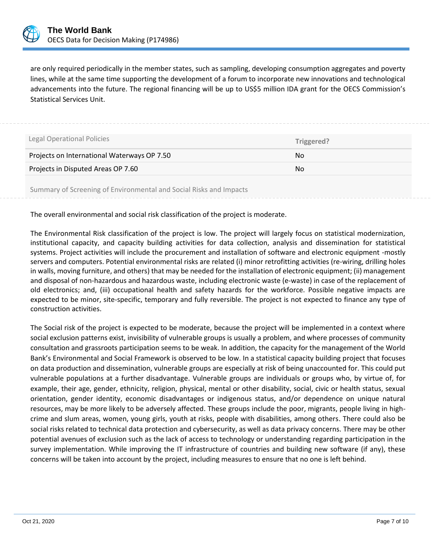

are only required periodically in the member states, such as sampling, developing consumption aggregates and poverty lines, while at the same time supporting the development of a forum to incorporate new innovations and technological advancements into the future. The regional financing will be up to US\$5 million IDA grant for the OECS Commission's Statistical Services Unit.

| Legal Operational Policies                                         | Triggered? |  |
|--------------------------------------------------------------------|------------|--|
| Projects on International Waterways OP 7.50                        | No.        |  |
| Projects in Disputed Areas OP 7.60                                 | No.        |  |
| Summary of Screening of Environmental and Social Risks and Impacts |            |  |

The overall environmental and social risk classification of the project is moderate.

The Environmental Risk classification of the project is low. The project will largely focus on statistical modernization, institutional capacity, and capacity building activities for data collection, analysis and dissemination for statistical systems. Project activities will include the procurement and installation of software and electronic equipment -mostly servers and computers. Potential environmental risks are related (i) minor retrofitting activities (re-wiring, drilling holes in walls, moving furniture, and others) that may be needed for the installation of electronic equipment; (ii) management and disposal of non-hazardous and hazardous waste, including electronic waste (e-waste) in case of the replacement of old electronics; and, (iii) occupational health and safety hazards for the workforce. Possible negative impacts are expected to be minor, site-specific, temporary and fully reversible. The project is not expected to finance any type of construction activities.

The Social risk of the project is expected to be moderate, because the project will be implemented in a context where social exclusion patterns exist, invisibility of vulnerable groups is usually a problem, and where processes of community consultation and grassroots participation seems to be weak. In addition, the capacity for the management of the World Bank's Environmental and Social Framework is observed to be low. In a statistical capacity building project that focuses on data production and dissemination, vulnerable groups are especially at risk of being unaccounted for. This could put vulnerable populations at a further disadvantage. Vulnerable groups are individuals or groups who, by virtue of, for example, their age, gender, ethnicity, religion, physical, mental or other disability, social, civic or health status, sexual orientation, gender identity, economic disadvantages or indigenous status, and/or dependence on unique natural resources, may be more likely to be adversely affected. These groups include the poor, migrants, people living in highcrime and slum areas, women, young girls, youth at risks, people with disabilities, among others. There could also be social risks related to technical data protection and cybersecurity, as well as data privacy concerns. There may be other potential avenues of exclusion such as the lack of access to technology or understanding regarding participation in the survey implementation. While improving the IT infrastructure of countries and building new software (if any), these concerns will be taken into account by the project, including measures to ensure that no one is left behind.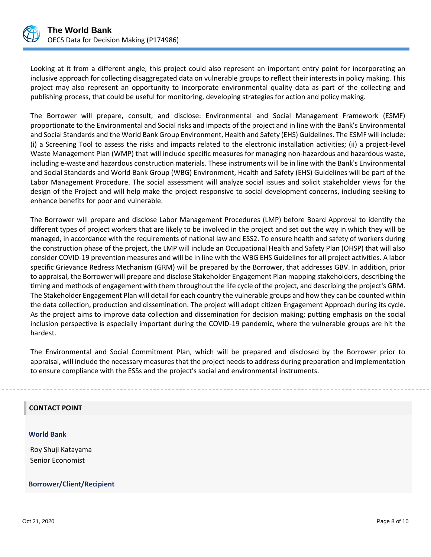

Looking at it from a different angle, this project could also represent an important entry point for incorporating an inclusive approach for collecting disaggregated data on vulnerable groups to reflect their interests in policy making. This project may also represent an opportunity to incorporate environmental quality data as part of the collecting and publishing process, that could be useful for monitoring, developing strategies for action and policy making.

The Borrower will prepare, consult, and disclose: Environmental and Social Management Framework (ESMF) proportionate to the Environmental and Social risks and impacts of the project and in line with the Bank's Environmental and Social Standards and the World Bank Group Environment, Health and Safety (EHS) Guidelines. The ESMF will include: (i) a Screening Tool to assess the risks and impacts related to the electronic installation activities; (ii) a project-level Waste Management Plan (WMP) that will include specific measures for managing non-hazardous and hazardous waste, including e-waste and hazardous construction materials. These instruments will be in line with the Bank's Environmental and Social Standards and World Bank Group (WBG) Environment, Health and Safety (EHS) Guidelines will be part of the Labor Management Procedure. The social assessment will analyze social issues and solicit stakeholder views for the design of the Project and will help make the project responsive to social development concerns, including seeking to enhance benefits for poor and vulnerable.

The Borrower will prepare and disclose Labor Management Procedures (LMP) before Board Approval to identify the different types of project workers that are likely to be involved in the project and set out the way in which they will be managed, in accordance with the requirements of national law and ESS2. To ensure health and safety of workers during the construction phase of the project, the LMP will include an Occupational Health and Safety Plan (OHSP) that will also consider COVID-19 prevention measures and will be in line with the WBG EHS Guidelines for all project activities. A labor specific Grievance Redress Mechanism (GRM) will be prepared by the Borrower, that addresses GBV. In addition, prior to appraisal, the Borrower will prepare and disclose Stakeholder Engagement Plan mapping stakeholders, describing the timing and methods of engagement with them throughout the life cycle of the project, and describing the project's GRM. The Stakeholder Engagement Plan will detail for each country the vulnerable groups and how they can be counted within the data collection, production and dissemination. The project will adopt citizen Engagement Approach during its cycle. As the project aims to improve data collection and dissemination for decision making; putting emphasis on the social inclusion perspective is especially important during the COVID-19 pandemic, where the vulnerable groups are hit the hardest.

The Environmental and Social Commitment Plan, which will be prepared and disclosed by the Borrower prior to appraisal, will include the necessary measures that the project needs to address during preparation and implementation to ensure compliance with the ESSs and the project's social and environmental instruments.

## **CONTACT POINT**

#### **World Bank**

Roy Shuji Katayama Senior Economist

## **Borrower/Client/Recipient**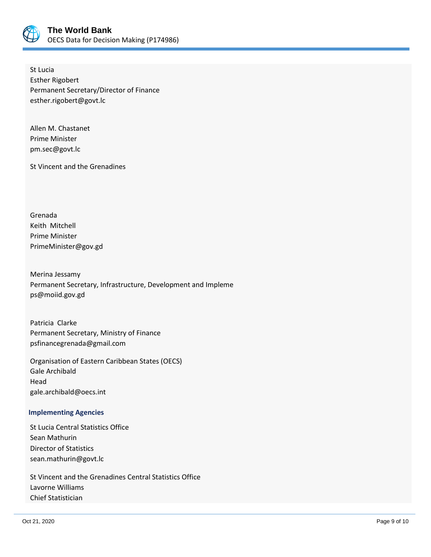

St Lucia Esther Rigobert Permanent Secretary/Director of Finance esther.rigobert@govt.lc

Allen M. Chastanet Prime Minister pm.sec@govt.lc

St Vincent and the Grenadines

Grenada Keith Mitchell Prime Minister PrimeMinister@gov.gd

Merina Jessamy Permanent Secretary, Infrastructure, Development and Impleme ps@moiid.gov.gd

Patricia Clarke Permanent Secretary, Ministry of Finance psfinancegrenada@gmail.com

Organisation of Eastern Caribbean States (OECS) Gale Archibald Head gale.archibald@oecs.int

## **Implementing Agencies**

St Lucia Central Statistics Office Sean Mathurin Director of Statistics sean.mathurin@govt.lc

St Vincent and the Grenadines Central Statistics Office Lavorne Williams Chief Statistician